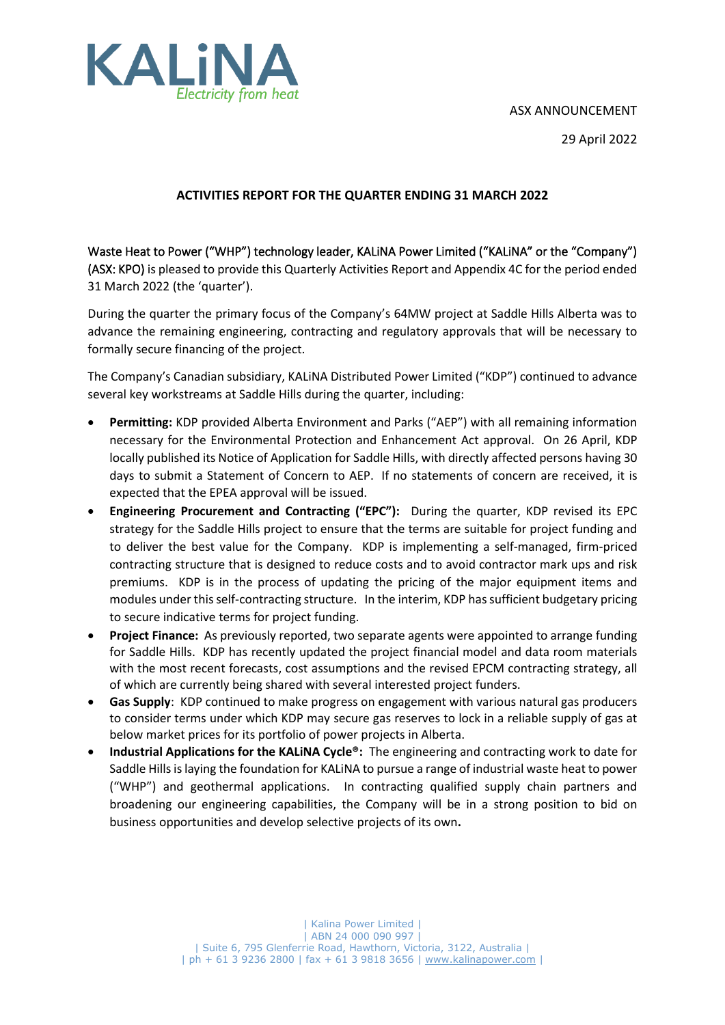## ASX ANNOUNCEMENT





### **ACTIVITIES REPORT FOR THE QUARTER ENDING 31 MARCH 2022**

Waste Heat to Power ("WHP") technology leader, KALiNA Power Limited ("KALiNA" or the "Company") (ASX: KPO) is pleased to provide this Quarterly Activities Report and Appendix 4C for the period ended 31 March 2022 (the 'quarter').

During the quarter the primary focus of the Company's 64MW project at Saddle Hills Alberta was to advance the remaining engineering, contracting and regulatory approvals that will be necessary to formally secure financing of the project.

The Company's Canadian subsidiary, KALiNA Distributed Power Limited ("KDP") continued to advance several key workstreams at Saddle Hills during the quarter, including:

- **Permitting:** KDP provided Alberta Environment and Parks ("AEP") with all remaining information necessary for the Environmental Protection and Enhancement Act approval. On 26 April, KDP locally published its Notice of Application for Saddle Hills, with directly affected persons having 30 days to submit a Statement of Concern to AEP. If no statements of concern are received, it is expected that the EPEA approval will be issued.
- **Engineering Procurement and Contracting ("EPC"):** During the quarter, KDP revised its EPC strategy for the Saddle Hills project to ensure that the terms are suitable for project funding and to deliver the best value for the Company. KDP is implementing a self-managed, firm-priced contracting structure that is designed to reduce costs and to avoid contractor mark ups and risk premiums. KDP is in the process of updating the pricing of the major equipment items and modules under thisself-contracting structure. In the interim, KDP has sufficient budgetary pricing to secure indicative terms for project funding.
- **Project Finance:** As previously reported, two separate agents were appointed to arrange funding for Saddle Hills. KDP has recently updated the project financial model and data room materials with the most recent forecasts, cost assumptions and the revised EPCM contracting strategy, all of which are currently being shared with several interested project funders.
- **Gas Supply**: KDP continued to make progress on engagement with various natural gas producers to consider terms under which KDP may secure gas reserves to lock in a reliable supply of gas at below market prices for its portfolio of power projects in Alberta.
- **Industrial Applications for the KALiNA Cycle®:** The engineering and contracting work to date for Saddle Hills is laying the foundation for KALINA to pursue a range of industrial waste heat to power ("WHP") and geothermal applications. In contracting qualified supply chain partners and broadening our engineering capabilities, the Company will be in a strong position to bid on business opportunities and develop selective projects of its own**.**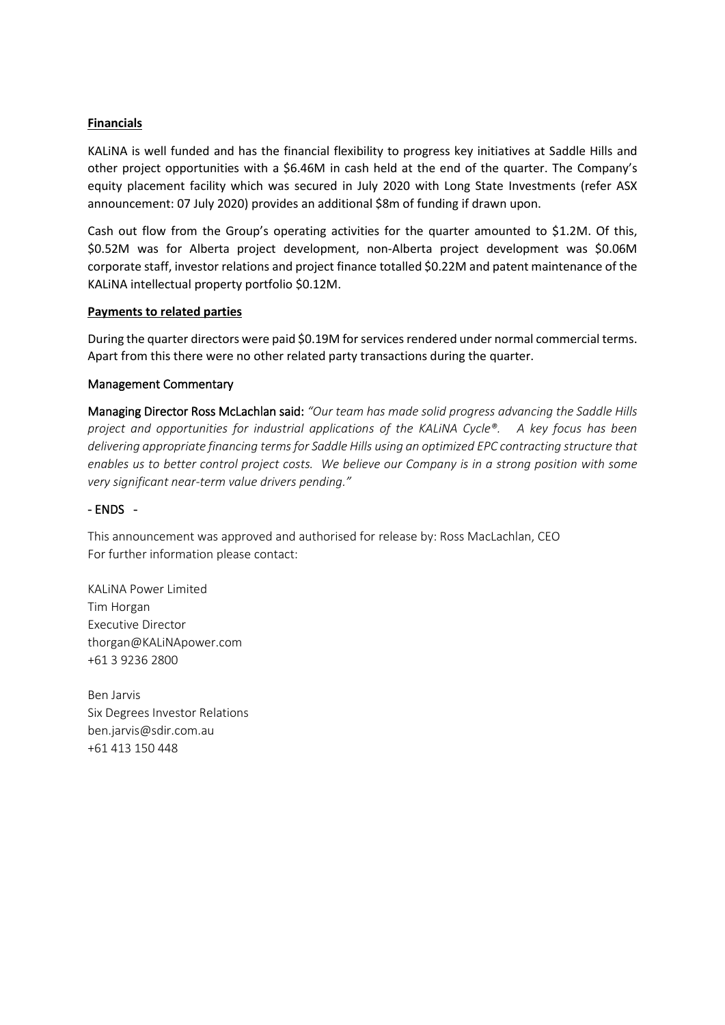### **Financials**

KALiNA is well funded and has the financial flexibility to progress key initiatives at Saddle Hills and other project opportunities with a \$6.46M in cash held at the end of the quarter. The Company's equity placement facility which was secured in July 2020 with Long State Investments (refer ASX announcement: 07 July 2020) provides an additional \$8m of funding if drawn upon.

Cash out flow from the Group's operating activities for the quarter amounted to \$1.2M. Of this, \$0.52M was for Alberta project development, non-Alberta project development was \$0.06M corporate staff, investor relations and project finance totalled \$0.22M and patent maintenance of the KALiNA intellectual property portfolio \$0.12M.

#### **Payments to related parties**

During the quarter directors were paid \$0.19M for services rendered under normal commercial terms. Apart from this there were no other related party transactions during the quarter.

#### Management Commentary

Managing Director Ross McLachlan said: *"Our team has made solid progress advancing the Saddle Hills project and opportunities for industrial applications of the KALiNA Cycle®. A key focus has been delivering appropriate financing terms for Saddle Hills using an optimized EPC contracting structure that enables us to better control project costs. We believe our Company is in a strong position with some very significant near-term value drivers pending."*

#### - ENDS -

This announcement was approved and authorised for release by: Ross MacLachlan, CEO For further information please contact:

KALiNA Power Limited Tim Horgan Executive Director thorgan@KALiNApower.com +61 3 9236 2800

Ben Jarvis Six Degrees Investor Relations ben.jarvis@sdir.com.au +61 413 150 448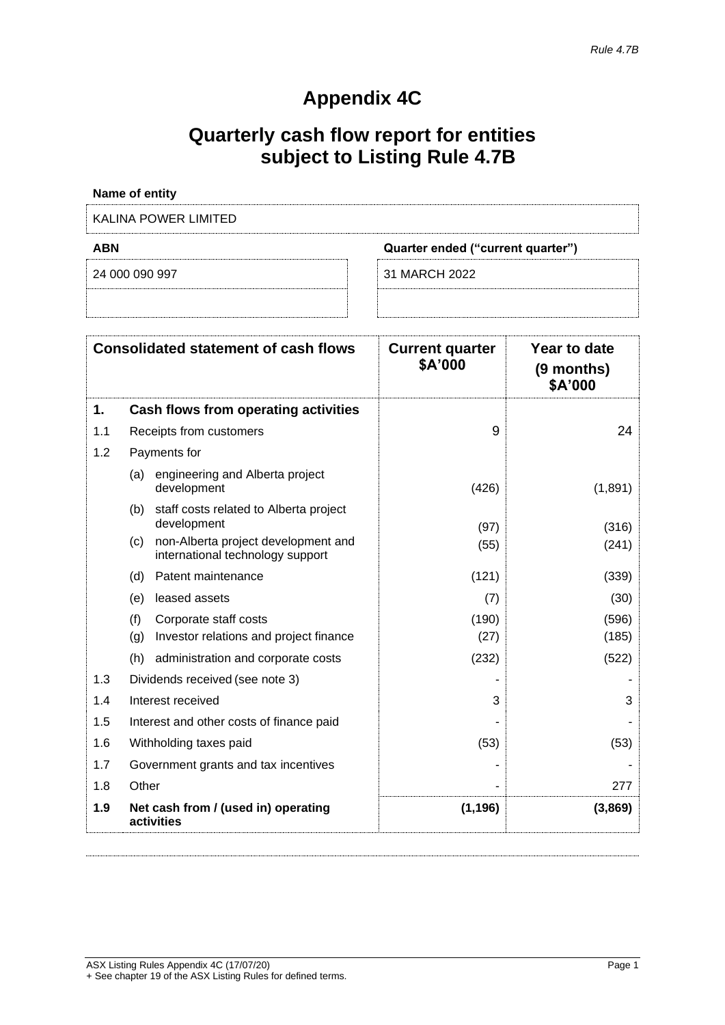# **Appendix 4C**

# **Quarterly cash flow report for entities subject to Listing Rule 4.7B**

|            | Name of entity                                                                 |                                   |                                       |
|------------|--------------------------------------------------------------------------------|-----------------------------------|---------------------------------------|
|            | <b>KALINA POWER LIMITED</b>                                                    |                                   |                                       |
| <b>ABN</b> |                                                                                | Quarter ended ("current quarter") |                                       |
|            | 24 000 090 997                                                                 | 31 MARCH 2022                     |                                       |
|            |                                                                                |                                   |                                       |
|            |                                                                                |                                   |                                       |
|            | <b>Consolidated statement of cash flows</b>                                    | <b>Current quarter</b><br>\$A'000 | Year to date<br>(9 months)<br>\$A'000 |
| 1.         | Cash flows from operating activities                                           |                                   |                                       |
| 1.1        | Receipts from customers                                                        | 9                                 | 24                                    |
| 1.2        | Payments for                                                                   |                                   |                                       |
|            | engineering and Alberta project<br>(a)<br>development                          | (426)                             | (1,891)                               |
|            | (b) staff costs related to Alberta project<br>development                      | (97)                              | (316)                                 |
|            | non-Alberta project development and<br>(c)<br>international technology support | (55)                              | (241)                                 |
|            | (d) Patent maintenance                                                         | (121)                             | (339)                                 |
|            | leased assets<br>(e)                                                           | (7)                               | (30)                                  |
|            | (f)<br>Corporate staff costs                                                   | (190)                             | (596)                                 |
|            | Investor relations and project finance<br>(g)                                  | (27)                              | (185)                                 |
|            | administration and corporate costs<br>(h)                                      | (232)                             | (522)                                 |
| 1.3        | Dividends received (see note 3)                                                |                                   |                                       |
| 1.4        | Interest received                                                              | 3                                 | 3                                     |
| 1.5        | Interest and other costs of finance paid                                       |                                   |                                       |
| 1.6        | Withholding taxes paid                                                         | (53)                              | (53)                                  |
| 1.7        | Government grants and tax incentives                                           |                                   |                                       |
| 1.8        | Other                                                                          |                                   | 277                                   |
| 1.9        | Net cash from / (used in) operating<br>activities                              | (1, 196)                          | (3,869)                               |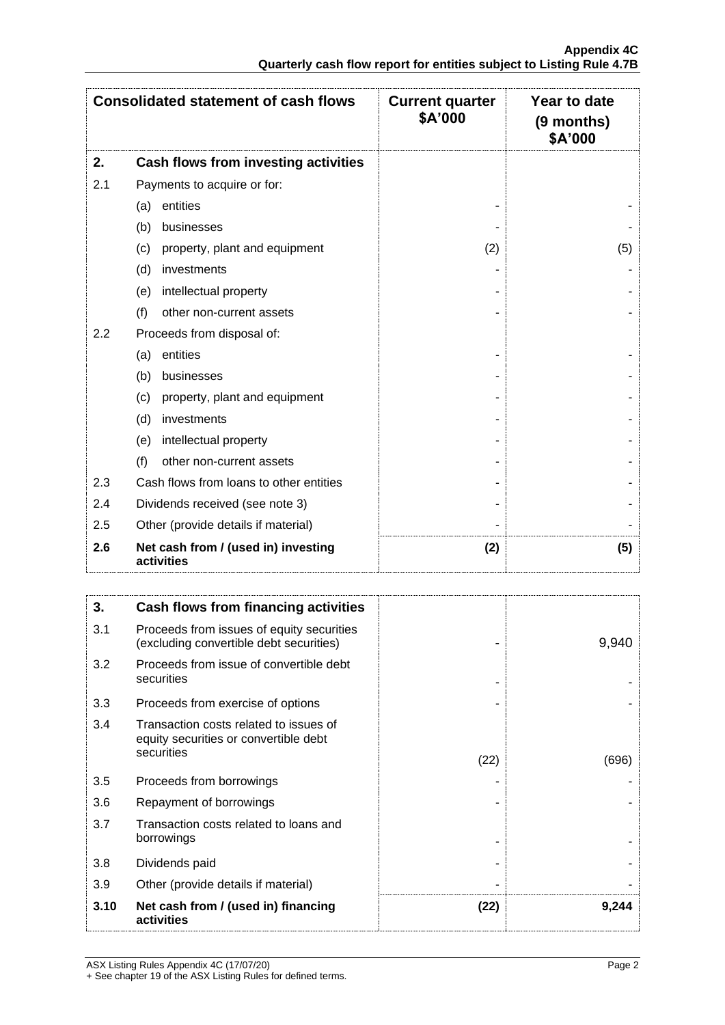|     | <b>Consolidated statement of cash flows</b>       | <b>Current quarter</b><br>\$A'000 | Year to date<br>(9 months)<br>\$A'000 |
|-----|---------------------------------------------------|-----------------------------------|---------------------------------------|
| 2.  | Cash flows from investing activities              |                                   |                                       |
| 2.1 | Payments to acquire or for:                       |                                   |                                       |
|     | entities<br>(a)                                   |                                   |                                       |
|     | (b)<br>businesses                                 |                                   |                                       |
|     | (c)<br>property, plant and equipment              | (2)                               | (5)                                   |
|     | (d)<br>investments                                |                                   |                                       |
|     | intellectual property<br>(e)                      |                                   |                                       |
|     | (f)<br>other non-current assets                   |                                   |                                       |
| 2.2 | Proceeds from disposal of:                        |                                   |                                       |
|     | entities<br>(a)                                   |                                   |                                       |
|     | (b)<br>businesses                                 |                                   |                                       |
|     | property, plant and equipment<br>(c)              |                                   |                                       |
|     | (d)<br>investments                                |                                   |                                       |
|     | intellectual property<br>(e)                      |                                   |                                       |
|     | (f)<br>other non-current assets                   |                                   |                                       |
| 2.3 | Cash flows from loans to other entities           |                                   |                                       |
| 2.4 | Dividends received (see note 3)                   |                                   |                                       |
| 2.5 | Other (provide details if material)               |                                   |                                       |
| 2.6 | Net cash from / (used in) investing<br>activities | (2)                               | (5)                                   |

| 3.   | Cash flows from financing activities                                                 |      |       |
|------|--------------------------------------------------------------------------------------|------|-------|
| 3.1  | Proceeds from issues of equity securities<br>(excluding convertible debt securities) |      | 9,940 |
| 3.2  | Proceeds from issue of convertible debt<br>securities                                |      |       |
| 3.3  | Proceeds from exercise of options                                                    |      |       |
| 3.4  | Transaction costs related to issues of<br>equity securities or convertible debt      |      |       |
|      | securities                                                                           | (22) | (696) |
| 3.5  | Proceeds from borrowings                                                             |      |       |
| 3.6  | Repayment of borrowings                                                              |      |       |
| 3.7  | Transaction costs related to loans and<br>borrowings                                 |      |       |
| 3.8  | Dividends paid                                                                       |      |       |
| 3.9  | Other (provide details if material)                                                  |      |       |
| 3.10 | Net cash from / (used in) financing<br>activities                                    | (22) | 9,244 |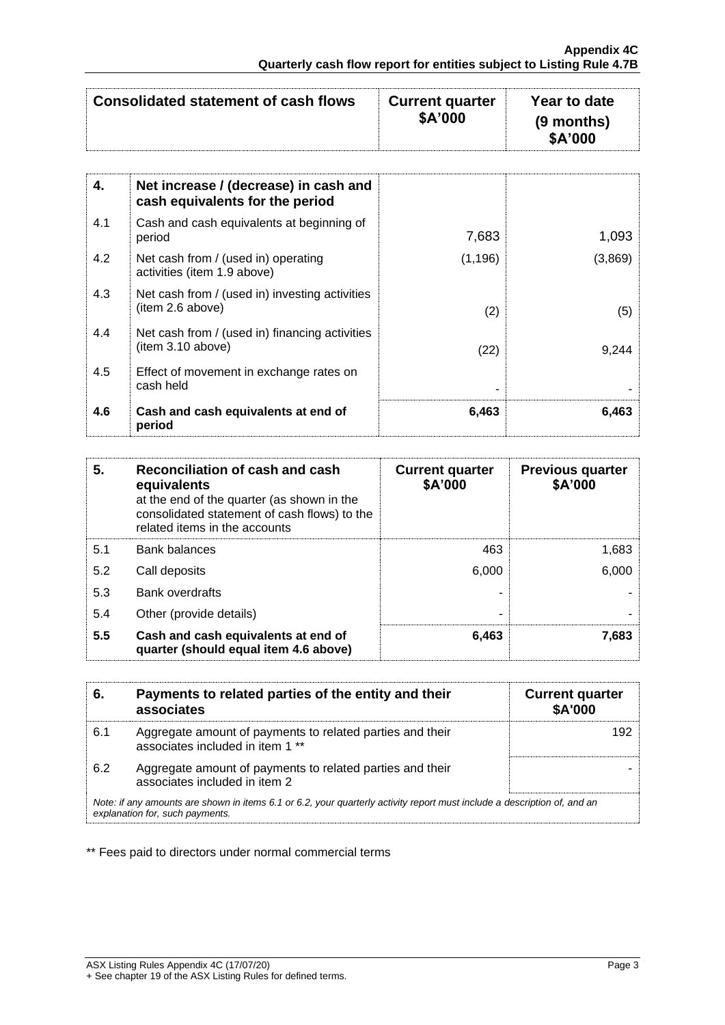| Consolidated statement of cash flows | <b>Current quarter</b><br>\$A'000 | Year to date<br>$(9$ months) |
|--------------------------------------|-----------------------------------|------------------------------|
|                                      |                                   | \$A'000                      |

| 4.  | Net increase / (decrease) in cash and<br>cash equivalents for the period |          |         |
|-----|--------------------------------------------------------------------------|----------|---------|
| 4.1 | Cash and cash equivalents at beginning of<br>period                      | 7,683    | 1,093   |
| 4.2 | Net cash from / (used in) operating<br>activities (item 1.9 above)       | (1, 196) | (3,869) |
| 4.3 | Net cash from / (used in) investing activities<br>(item 2.6 above)       | (2)      | (5)     |
| 4.4 | Net cash from / (used in) financing activities<br>(item 3.10 above)      | (22)     | 9,244   |
| 4.5 | Effect of movement in exchange rates on<br>cash held                     |          |         |
| 4.6 | Cash and cash equivalents at end of<br>period                            | 6,463    | 6,463   |

| 5.  | Reconciliation of cash and cash<br>equivalents<br>at the end of the quarter (as shown in the<br>consolidated statement of cash flows) to the<br>related items in the accounts | <b>Current quarter</b><br>\$A'000 | <b>Previous quarter</b><br>\$A'000 |
|-----|-------------------------------------------------------------------------------------------------------------------------------------------------------------------------------|-----------------------------------|------------------------------------|
| 5.1 | <b>Bank balances</b>                                                                                                                                                          | 463                               | 1,683                              |
| 5.2 | Call deposits                                                                                                                                                                 | 6,000                             | 6,000                              |
| 5.3 | <b>Bank overdrafts</b>                                                                                                                                                        |                                   |                                    |
| 5.4 | Other (provide details)                                                                                                                                                       | -                                 |                                    |
| 5.5 | Cash and cash equivalents at end of<br>quarter (should equal item 4.6 above)                                                                                                  | 6,463                             | 7,683                              |

| 6.                                                                                                                                                          | Payments to related parties of the entity and their<br>associates                             | <b>Current quarter</b><br><b>\$A'000</b> |
|-------------------------------------------------------------------------------------------------------------------------------------------------------------|-----------------------------------------------------------------------------------------------|------------------------------------------|
| 6.1                                                                                                                                                         | Aggregate amount of payments to related parties and their<br>associates included in item 1 ** | 192                                      |
| 6.2                                                                                                                                                         | Aggregate amount of payments to related parties and their<br>associates included in item 2    |                                          |
| Note: if any amounts are shown in items 6.1 or 6.2, your quarterly activity report must include a description of, and an<br>explanation for, such payments. |                                                                                               |                                          |

\*\* Fees paid to directors under normal commercial terms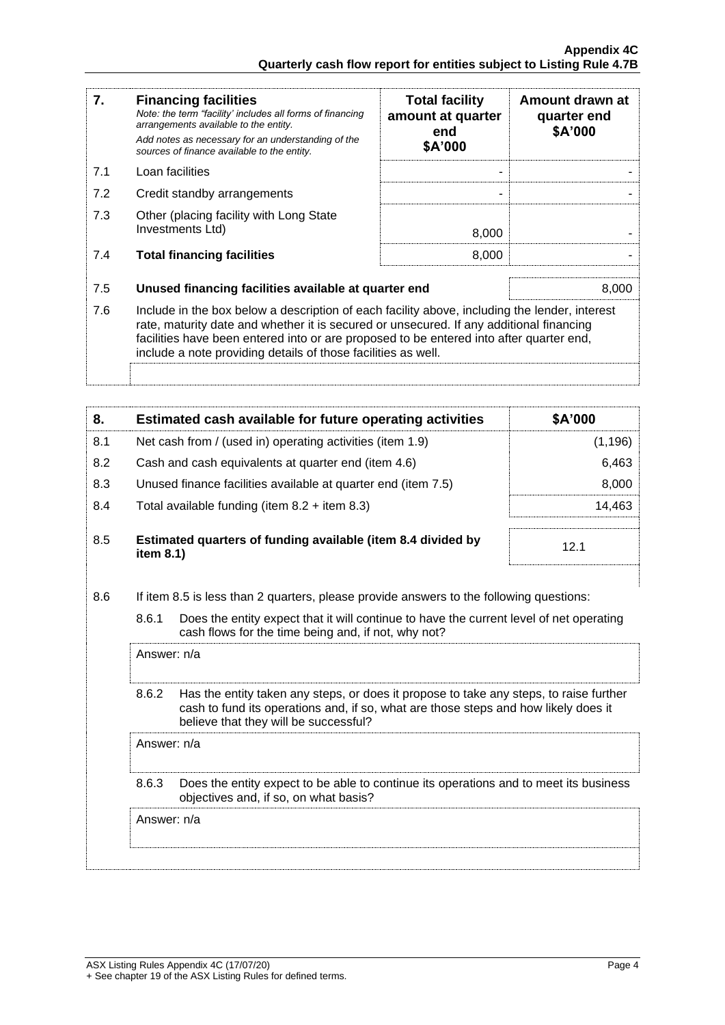| 7.  | <b>Financing facilities</b><br>Note: the term "facility' includes all forms of financing<br>arrangements available to the entity.<br>Add notes as necessary for an understanding of the<br>sources of finance available to the entity.                                                                                                               | <b>Total facility</b><br>amount at quarter<br>end<br>\$A'000 | Amount drawn at<br>quarter end<br>\$A'000 |
|-----|------------------------------------------------------------------------------------------------------------------------------------------------------------------------------------------------------------------------------------------------------------------------------------------------------------------------------------------------------|--------------------------------------------------------------|-------------------------------------------|
| 7.1 | Loan facilities                                                                                                                                                                                                                                                                                                                                      |                                                              |                                           |
| 7.2 | Credit standby arrangements                                                                                                                                                                                                                                                                                                                          |                                                              |                                           |
| 7.3 | Other (placing facility with Long State<br>Investments Ltd)                                                                                                                                                                                                                                                                                          | 8,000                                                        |                                           |
| 7.4 | <b>Total financing facilities</b>                                                                                                                                                                                                                                                                                                                    | 8,000                                                        |                                           |
| 7.5 | Unused financing facilities available at quarter end                                                                                                                                                                                                                                                                                                 |                                                              | 8,000                                     |
| 7.6 | Include in the box below a description of each facility above, including the lender, interest<br>rate, maturity date and whether it is secured or unsecured. If any additional financing<br>facilities have been entered into or are proposed to be entered into after quarter end,<br>include a note providing details of those facilities as well. |                                                              |                                           |
|     |                                                                                                                                                                                                                                                                                                                                                      |                                                              |                                           |

| 8.  | Estimated cash available for future operating activities                     | \$A'000 |
|-----|------------------------------------------------------------------------------|---------|
| 8.1 | Net cash from / (used in) operating activities (item 1.9)                    | (1,196) |
| 8.2 | Cash and cash equivalents at quarter end (item 4.6)                          | 6,463   |
| 8.3 | Unused finance facilities available at quarter end (item 7.5)                | 8,000   |
| 8.4 | Total available funding (item $8.2 +$ item $8.3$ )                           | 14.463  |
| 8.5 | Estimated quarters of funding available (item 8.4 divided by<br>item $8.1$ ) | 12.1    |

- 8.6 If item 8.5 is less than 2 quarters, please provide answers to the following questions:
	- 8.6.1 Does the entity expect that it will continue to have the current level of net operating cash flows for the time being and, if not, why not?

Answer: n/a

8.6.2 Has the entity taken any steps, or does it propose to take any steps, to raise further cash to fund its operations and, if so, what are those steps and how likely does it believe that they will be successful?

Answer: n/a

8.6.3 Does the entity expect to be able to continue its operations and to meet its business objectives and, if so, on what basis?

Answer: n/a